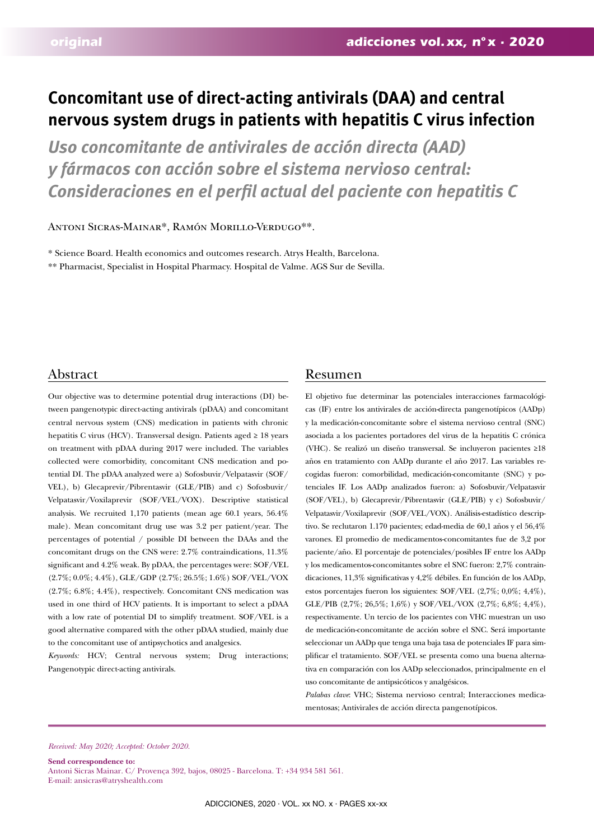# **Concomitant use of direct-acting antivirals (DAA) and central nervous system drugs in patients with hepatitis C virus infection**

*Uso concomitante de antivirales de acción directa (AAD) y fármacos con acción sobre el sistema nervioso central: Consideraciones en el perfil actual del paciente con hepatitis C*

Antoni Sicras-Mainar\*, Ramón Morillo-Verdugo\*\*.

\* Science Board. Health economics and outcomes research. Atrys Health, Barcelona. \*\* Pharmacist, Specialist in Hospital Pharmacy. Hospital de Valme. AGS Sur de Sevilla.

# Abstract Resumen

Our objective was to determine potential drug interactions (DI) between pangenotypic direct-acting antivirals (pDAA) and concomitant central nervous system (CNS) medication in patients with chronic hepatitis C virus (HCV). Transversal design. Patients aged ≥ 18 years on treatment with pDAA during 2017 were included. The variables collected were comorbidity, concomitant CNS medication and potential DI. The pDAA analyzed were a) Sofosbuvir/Velpatasvir (SOF/ VEL), b) Glecaprevir/Pibrentasvir (GLE/PIB) and c) Sofosbuvir/ Velpatasvir/Voxilaprevir (SOF/VEL/VOX). Descriptive statistical analysis. We recruited 1,170 patients (mean age 60.1 years, 56.4% male). Mean concomitant drug use was 3.2 per patient/year. The percentages of potential / possible DI between the DAAs and the concomitant drugs on the CNS were: 2.7% contraindications, 11.3% significant and 4.2% weak. By pDAA, the percentages were: SOF/VEL  $(2.7\%;0.0\%;4.4\%)$  , GLE/GDP  $(2.7\%;26.5\%;1.6\%)$  SOF/VEL/VOX (2.7%; 6.8%; 4.4%), respectively. Concomitant CNS medication was used in one third of HCV patients. It is important to select a pDAA with a low rate of potential DI to simplify treatment. SOF/VEL is a good alternative compared with the other pDAA studied, mainly due to the concomitant use of antipsychotics and analgesics.

*Keywords:* HCV; Central nervous system; Drug interactions; Pangenotypic direct-acting antivirals.

El objetivo fue determinar las potenciales interacciones farmacológicas (IF) entre los antivirales de acción-directa pangenotípicos (AADp) y la medicación-concomitante sobre el sistema nervioso central (SNC) asociada a los pacientes portadores del virus de la hepatitis C crónica (VHC). Se realizó un diseño transversal. Se incluyeron pacientes ≥18 años en tratamiento con AADp durante el año 2017. Las variables recogidas fueron: comorbilidad, medicación-concomitante (SNC) y potenciales IF. Los AADp analizados fueron: a) Sofosbuvir/Velpatasvir (SOF/VEL), b) Glecaprevir/Pibrentasvir (GLE/PIB) y c) Sofosbuvir/ Velpatasvir/Voxilaprevir (SOF/VEL/VOX). Análisis-estadístico descriptivo. Se reclutaron 1.170 pacientes; edad-media de 60,1 años y el 56,4% varones. El promedio de medicamentos-concomitantes fue de 3,2 por paciente/año. El porcentaje de potenciales/posibles IF entre los AADp y los medicamentos-concomitantes sobre el SNC fueron: 2,7% contraindicaciones, 11,3% significativas y 4,2% débiles. En función de los AADp, estos porcentajes fueron los siguientes: SOF/VEL (2,7%; 0,0%; 4,4%), GLE/PIB (2,7%; 26,5%; 1,6%) y SOF/VEL/VOX (2,7%; 6,8%; 4,4%), respectivamente. Un tercio de los pacientes con VHC muestran un uso de medicación-concomitante de acción sobre el SNC. Será importante seleccionar un AADp que tenga una baja tasa de potenciales IF para simplificar el tratamiento. SOF/VEL se presenta como una buena alternativa en comparación con los AADp seleccionados, principalmente en el uso concomitante de antipsicóticos y analgésicos.

*Palabas clave*: VHC; Sistema nervioso central; Interacciones medicamentosas; Antivirales de acción directa pangenotípicos.

*Received: May 2020; Accepted: October 2020.*

**Send correspondence to:**  Antoni Sicras Mainar. C/ Provença 392, bajos, 08025 - Barcelona. T: +34 934 581 561. E-mail: ansicras@atryshealth.com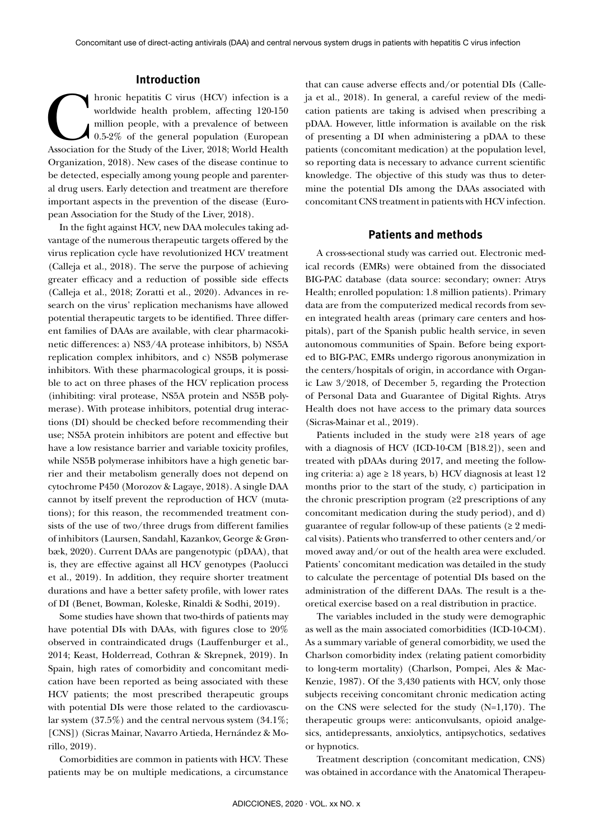# **Introduction**

Internation Comparison (HCV) infection is a worldwide health problem, affecting 120-150 million people, with a prevalence of between Association for the Study of the Liver, 2018; World Health worldwide health problem, affecting 120-150 million people, with a prevalence of between 0.5-2% of the general population (European Organization, 2018). New cases of the disease continue to be detected, especially among young people and parenteral drug users. Early detection and treatment are therefore important aspects in the prevention of the disease (European Association for the Study of the Liver, 2018).

In the fight against HCV, new DAA molecules taking advantage of the numerous therapeutic targets offered by the virus replication cycle have revolutionized HCV treatment (Calleja et al., 2018). The serve the purpose of achieving greater efficacy and a reduction of possible side effects (Calleja et al., 2018; Zoratti et al., 2020). Advances in research on the virus' replication mechanisms have allowed potential therapeutic targets to be identified. Three different families of DAAs are available, with clear pharmacokinetic differences: a) NS3/4A protease inhibitors, b) NS5A replication complex inhibitors, and c) NS5B polymerase inhibitors. With these pharmacological groups, it is possible to act on three phases of the HCV replication process (inhibiting: viral protease, NS5A protein and NS5B polymerase). With protease inhibitors, potential drug interactions (DI) should be checked before recommending their use; NS5A protein inhibitors are potent and effective but have a low resistance barrier and variable toxicity profiles, while NS5B polymerase inhibitors have a high genetic barrier and their metabolism generally does not depend on cytochrome P450 (Morozov & Lagaye, 2018). A single DAA cannot by itself prevent the reproduction of HCV (mutations); for this reason, the recommended treatment consists of the use of two/three drugs from different families of inhibitors (Laursen, Sandahl, Kazankov, George & Grønbæk, 2020). Current DAAs are pangenotypic (pDAA), that is, they are effective against all HCV genotypes (Paolucci et al., 2019). In addition, they require shorter treatment durations and have a better safety profile, with lower rates of DI (Benet, Bowman, Koleske, Rinaldi & Sodhi, 2019).

Some studies have shown that two-thirds of patients may have potential DIs with DAAs, with figures close to 20% observed in contraindicated drugs (Lauffenburger et al., 2014; Keast, Holderread, Cothran & Skrepnek, 2019). In Spain, high rates of comorbidity and concomitant medication have been reported as being associated with these HCV patients; the most prescribed therapeutic groups with potential DIs were those related to the cardiovascular system (37.5%) and the central nervous system (34.1%; [CNS]) (Sicras Mainar, Navarro Artieda, Hernández & Morillo, 2019).

Comorbidities are common in patients with HCV. These patients may be on multiple medications, a circumstance that can cause adverse effects and/or potential DIs (Calleja et al., 2018). In general, a careful review of the medication patients are taking is advised when prescribing a pDAA. However, little information is available on the risk of presenting a DI when administering a pDAA to these patients (concomitant medication) at the population level, so reporting data is necessary to advance current scientific knowledge. The objective of this study was thus to determine the potential DIs among the DAAs associated with concomitant CNS treatment in patients with HCV infection.

# **Patients and methods**

A cross-sectional study was carried out. Electronic medical records (EMRs) were obtained from the dissociated BIG-PAC database (data source: secondary; owner: Atrys Health; enrolled population: 1.8 million patients). Primary data are from the computerized medical records from seven integrated health areas (primary care centers and hospitals), part of the Spanish public health service, in seven autonomous communities of Spain. Before being exported to BIG-PAC, EMRs undergo rigorous anonymization in the centers/hospitals of origin, in accordance with Organic Law 3/2018, of December 5, regarding the Protection of Personal Data and Guarantee of Digital Rights. Atrys Health does not have access to the primary data sources (Sicras-Mainar et al., 2019).

Patients included in the study were ≥18 years of age with a diagnosis of HCV (ICD-10-CM [B18.2]), seen and treated with pDAAs during 2017, and meeting the following criteria: a) age ≥ 18 years, b) HCV diagnosis at least 12 months prior to the start of the study, c) participation in the chronic prescription program  $(≥2$  prescriptions of any concomitant medication during the study period), and d) guarantee of regular follow-up of these patients ( $\geq 2$  medical visits). Patients who transferred to other centers and/or moved away and/or out of the health area were excluded. Patients' concomitant medication was detailed in the study to calculate the percentage of potential DIs based on the administration of the different DAAs. The result is a theoretical exercise based on a real distribution in practice.

The variables included in the study were demographic as well as the main associated comorbidities (ICD-10-CM). As a summary variable of general comorbidity, we used the Charlson comorbidity index (relating patient comorbidity to long-term mortality) (Charlson, Pompei, Ales & Mac-Kenzie, 1987). Of the 3,430 patients with HCV, only those subjects receiving concomitant chronic medication acting on the CNS were selected for the study (N=1,170). The therapeutic groups were: anticonvulsants, opioid analgesics, antidepressants, anxiolytics, antipsychotics, sedatives or hypnotics.

Treatment description (concomitant medication, CNS) was obtained in accordance with the Anatomical Therapeu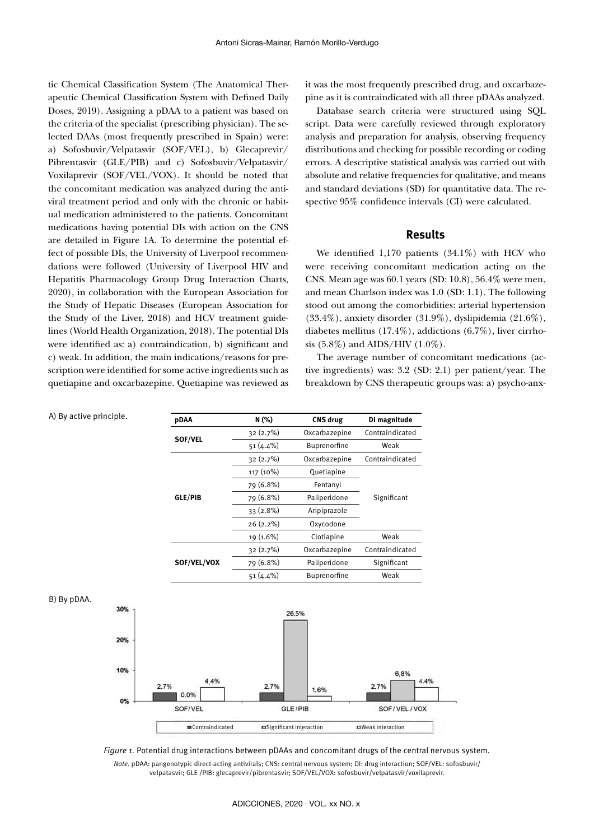tic Chemical Classification System (The Anatomical Therapeutic Chemical Classification System with Defined Daily Doses, 2019). Assigning a pDAA to a patient was based on the criteria of the specialist (prescribing physician). The selected DAAs (most frequently prescribed in Spain) were: a) Sofosbuvir/Velpatasvir (SOF/VEL), b) Glecaprevir/ Pibrentasvir (GLE/PIB) and c) Sofosbuvir/Velpatasvir/ Voxilaprevir (SOF/VEL/VOX). It should be noted that the concomitant medication was analyzed during the antiviral treatment period and only with the chronic or habitual medication administered to the patients. Concomitant medications having potential DIs with action on the CNS are detailed in Figure 1A. To determine the potential effect of possible DIs, the University of Liverpool recommendations were followed (University of Liverpool HIV and Hepatitis Pharmacology Group Drug Interaction Charts, 2020), in collaboration with the European Association for the Study of Hepatic Diseases (European Association for the Study of the Liver, 2018) and HCV treatment guidelines (World Health Organization, 2018). The potential DIs were identified as: a) contraindication, b) significant and c) weak. In addition, the main indications/reasons for prescription were identified for some active ingredients such as quetiapine and oxcarbazepine. Quetiapine was reviewed as it was the most frequently prescribed drug, and oxcarbazepine as it is contraindicated with all three pDAAs analyzed.

Database search criteria were structured using SQL script. Data were carefully reviewed through exploratory analysis and preparation for analysis, observing frequency distributions and checking for possible recording or coding errors. A descriptive statistical analysis was carried out with absolute and relative frequencies for qualitative, and means and standard deviations (SD) for quantitative data. The respective 95% confidence intervals (CI) were calculated.

### **Results**

We identified 1,170 patients (34.1%) with HCV who were receiving concomitant medication acting on the CNS. Mean age was 60.1 years (SD: 10.8), 56.4% were men, and mean Charlson index was 1.0 (SD: 1.1). The following stood out among the comorbidities: arterial hypertension (33.4%), anxiety disorder (31.9%), dyslipidemia (21.6%), diabetes mellitus (17.4%), addictions (6.7%), liver cirrhosis (5.8%) and AIDS/HIV (1.0%).

The average number of concomitant medications (active ingredients) was: 3.2 (SD: 2.1) per patient/year. The breakdown by CNS therapeutic groups was: a) psycho-anx-

| A) By active principle. |     | pDAA                     | N (%)     | CNS drug                       | DI magnitude              |
|-------------------------|-----|--------------------------|-----------|--------------------------------|---------------------------|
|                         |     |                          | 32 (2.7%) | Oxcarbazepine                  | Contraindicated           |
|                         |     | SOF/VEL                  | 51 (4.4%) | Buprenorfine                   | Weak                      |
|                         |     |                          | 32(2.7%)  | Oxcarbazepine                  | Contraindicated           |
|                         |     |                          | 117 (10%) | Quetiapine                     |                           |
|                         |     |                          | 79 (6.8%) | Fentanyl                       |                           |
|                         |     | <b>GLE/PIB</b>           | 79 (6.8%) | Paliperidone                   | Significant               |
|                         |     |                          | 33 (2.8%) | Aripiprazole                   |                           |
|                         |     |                          | 26 (2.2%) | Oxycodone                      |                           |
|                         |     |                          | 19 (1.6%) | Clotiapine                     | Weak                      |
|                         |     |                          | 32 (2.7%) | Oxcarbazepine                  | Contraindicated           |
|                         |     | SOF/VEL/VOX              | 79 (6.8%) | Paliperidone                   | Significant               |
|                         |     |                          | 51 (4.4%) | Buprenorfine                   | Weak                      |
| B) By pDAA.             | 30% |                          |           | 26.5%                          |                           |
|                         | 20% |                          |           |                                |                           |
|                         | 10% | 4.4%<br>2.7%             | 2.7%      | 1.6%                           | 6,8%<br>2.7%              |
|                         | 0%  | 0.0%<br>SOF/VEL          |           | GLE/PIB                        | SOF/VEL/VOX               |
|                         |     | <b>E</b> Contraindicated |           | <b>Significant interaction</b> | <b>O</b> Weak interaction |
|                         |     |                          |           |                                |                           |

*Figure 1.* Potential drug interactions between pDAAs and concomitant drugs of the central nervous system. *Note*. pDAA: pangenotypic direct-acting antivirals; CNS: central nervous system; DI: drug interaction; SOF/VEL: sofosbuvir/ velpatasvir; GLE /PIB: glecaprevir/pibrentasvir; SOF/VEL/VOX: sofosbuvir/velpatasvir/voxilaprevir.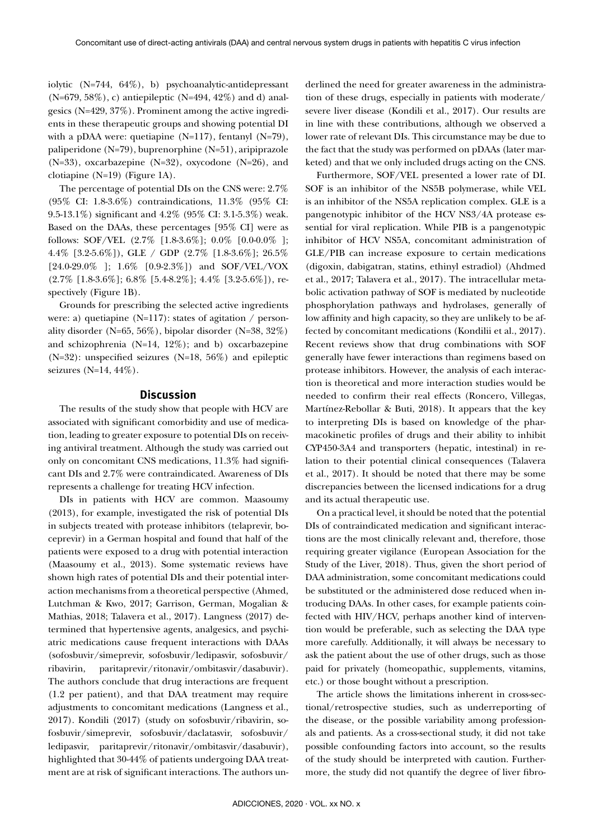iolytic (N=744, 64%), b) psychoanalytic-antidepressant  $(N=679, 58\%)$ , c) antiepileptic  $(N=494, 42\%)$  and d) analgesics (N=429, 37%). Prominent among the active ingredients in these therapeutic groups and showing potential DI with a pDAA were: quetiapine (N=117), fentanyl (N=79), paliperidone (N=79), buprenorphine (N=51), aripiprazole (N=33), oxcarbazepine (N=32), oxycodone (N=26), and clotiapine (N=19) (Figure 1A).

The percentage of potential DIs on the CNS were: 2.7% (95% CI: 1.8-3.6%) contraindications, 11.3% (95% CI: 9.5-13.1%) significant and 4.2% (95% CI: 3.1-5.3%) weak. Based on the DAAs, these percentages [95% CI] were as follows: SOF/VEL (2.7% [1.8-3.6%]; 0.0% [0.0-0.0% ]; 4.4% [3.2-5.6%]), GLE / GDP (2.7% [1.8-3.6%]; 26.5% [24.0-29.0% ]; 1.6% [0.9-2.3%]) and SOF/VEL/VOX  $(2.7\%$  [1.8-3.6\%]; 6.8\% [5.4-8.2\%}]; 4.4\% [3.2-5.6\%]), respectively (Figure 1B).

Grounds for prescribing the selected active ingredients were: a) quetiapine (N=117): states of agitation / personality disorder (N=65, 56%), bipolar disorder (N=38, 32%) and schizophrenia (N=14, 12%); and b) oxcarbazepine (N=32): unspecified seizures (N=18, 56%) and epileptic seizures (N=14, 44%).

#### **Discussion**

The results of the study show that people with HCV are associated with significant comorbidity and use of medication, leading to greater exposure to potential DIs on receiving antiviral treatment. Although the study was carried out only on concomitant CNS medications, 11.3% had significant DIs and 2.7% were contraindicated. Awareness of DIs represents a challenge for treating HCV infection.

DIs in patients with HCV are common. Maasoumy (2013), for example, investigated the risk of potential DIs in subjects treated with protease inhibitors (telaprevir, boceprevir) in a German hospital and found that half of the patients were exposed to a drug with potential interaction (Maasoumy et al., 2013). Some systematic reviews have shown high rates of potential DIs and their potential interaction mechanisms from a theoretical perspective (Ahmed, Lutchman & Kwo, 2017; Garrison, German, Mogalian & Mathias, 2018; Talavera et al., 2017). Langness (2017) determined that hypertensive agents, analgesics, and psychiatric medications cause frequent interactions with DAAs (sofosbuvir/simeprevir, sofosbuvir/ledipasvir, sofosbuvir/ ribavirin, paritaprevir/ritonavir/ombitasvir/dasabuvir). The authors conclude that drug interactions are frequent (1.2 per patient), and that DAA treatment may require adjustments to concomitant medications (Langness et al., 2017). Kondili (2017) (study on sofosbuvir/ribavirin, sofosbuvir/simeprevir, sofosbuvir/daclatasvir, sofosbuvir/ ledipasvir, paritaprevir/ritonavir/ombitasvir/dasabuvir), highlighted that 30-44% of patients undergoing DAA treatment are at risk of significant interactions. The authors underlined the need for greater awareness in the administration of these drugs, especially in patients with moderate/ severe liver disease (Kondili et al., 2017). Our results are in line with these contributions, although we observed a lower rate of relevant DIs. This circumstance may be due to the fact that the study was performed on pDAAs (later marketed) and that we only included drugs acting on the CNS.

Furthermore, SOF/VEL presented a lower rate of DI. SOF is an inhibitor of the NS5B polymerase, while VEL is an inhibitor of the NS5A replication complex. GLE is a pangenotypic inhibitor of the HCV NS3/4A protease essential for viral replication. While PIB is a pangenotypic inhibitor of HCV NS5A, concomitant administration of GLE/PIB can increase exposure to certain medications (digoxin, dabigatran, statins, ethinyl estradiol) (Ahdmed et al., 2017; Talavera et al., 2017). The intracellular metabolic activation pathway of SOF is mediated by nucleotide phosphorylation pathways and hydrolases, generally of low affinity and high capacity, so they are unlikely to be affected by concomitant medications (Kondilii et al., 2017). Recent reviews show that drug combinations with SOF generally have fewer interactions than regimens based on protease inhibitors. However, the analysis of each interaction is theoretical and more interaction studies would be needed to confirm their real effects (Roncero, Villegas, Martínez-Rebollar & Buti, 2018). It appears that the key to interpreting DIs is based on knowledge of the pharmacokinetic profiles of drugs and their ability to inhibit CYP450-3A4 and transporters (hepatic, intestinal) in relation to their potential clinical consequences (Talavera et al., 2017). It should be noted that there may be some discrepancies between the licensed indications for a drug and its actual therapeutic use.

On a practical level, it should be noted that the potential DIs of contraindicated medication and significant interactions are the most clinically relevant and, therefore, those requiring greater vigilance (European Association for the Study of the Liver, 2018). Thus, given the short period of DAA administration, some concomitant medications could be substituted or the administered dose reduced when introducing DAAs. In other cases, for example patients coinfected with HIV/HCV, perhaps another kind of intervention would be preferable, such as selecting the DAA type more carefully. Additionally, it will always be necessary to ask the patient about the use of other drugs, such as those paid for privately (homeopathic, supplements, vitamins, etc.) or those bought without a prescription.

The article shows the limitations inherent in cross-sectional/retrospective studies, such as underreporting of the disease, or the possible variability among professionals and patients. As a cross-sectional study, it did not take possible confounding factors into account, so the results of the study should be interpreted with caution. Furthermore, the study did not quantify the degree of liver fibro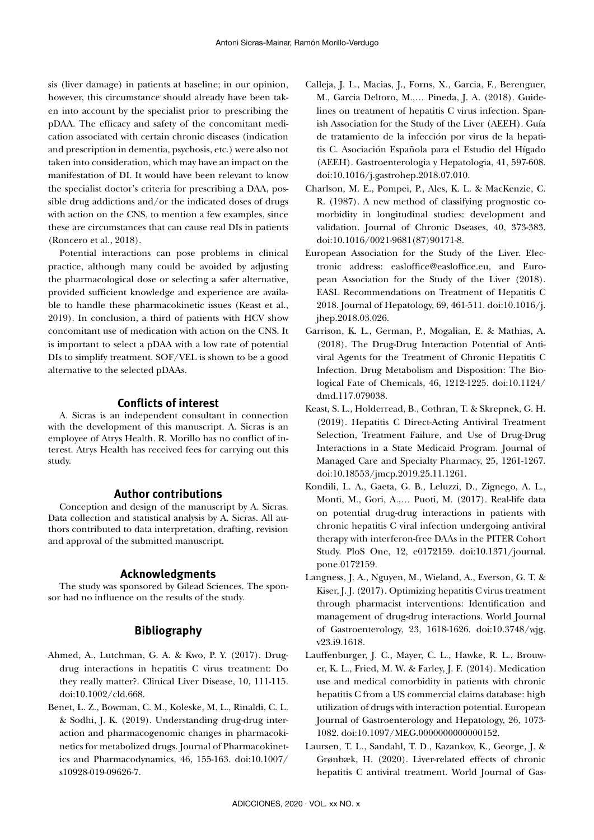sis (liver damage) in patients at baseline; in our opinion, however, this circumstance should already have been taken into account by the specialist prior to prescribing the pDAA. The efficacy and safety of the concomitant medication associated with certain chronic diseases (indication and prescription in dementia, psychosis, etc.) were also not taken into consideration, which may have an impact on the manifestation of DI. It would have been relevant to know the specialist doctor's criteria for prescribing a DAA, possible drug addictions and/or the indicated doses of drugs with action on the CNS, to mention a few examples, since these are circumstances that can cause real DIs in patients (Roncero et al., 2018).

Potential interactions can pose problems in clinical practice, although many could be avoided by adjusting the pharmacological dose or selecting a safer alternative, provided sufficient knowledge and experience are available to handle these pharmacokinetic issues (Keast et al., 2019). In conclusion, a third of patients with HCV show concomitant use of medication with action on the CNS. It is important to select a pDAA with a low rate of potential DIs to simplify treatment. SOF/VEL is shown to be a good alternative to the selected pDAAs.

# **Conflicts of interest**

A. Sicras is an independent consultant in connection with the development of this manuscript. A. Sicras is an employee of Atrys Health. R. Morillo has no conflict of interest. Atrys Health has received fees for carrying out this study.

#### **Author contributions**

Conception and design of the manuscript by A. Sicras. Data collection and statistical analysis by A. Sicras. All authors contributed to data interpretation, drafting, revision and approval of the submitted manuscript.

#### **Acknowledgments**

The study was sponsored by Gilead Sciences. The sponsor had no influence on the results of the study.

# **Bibliography**

- Ahmed, A., Lutchman, G. A. & Kwo, P. Y. (2017). Drugdrug interactions in hepatitis C virus treatment: Do they really matter?. Clinical Liver Disease, 10, 111-115. doi:10.1002/cld.668.
- Benet, L. Z., Bowman, C. M., Koleske, M. L., Rinaldi, C. L. & Sodhi, J. K. (2019). Understanding drug-drug interaction and pharmacogenomic changes in pharmacokinetics for metabolized drugs. Journal of Pharmacokinetics and Pharmacodynamics, 46, 155-163. doi:10.1007/ s10928-019-09626-7.
- Calleja, J. L., Macias, J., Forns, X., Garcia, F., Berenguer, M., Garcia Deltoro, M.,… Pineda, J. A. (2018). Guidelines on treatment of hepatitis C virus infection. Spanish Association for the Study of the Liver (AEEH). Guía de tratamiento de la infección por virus de la hepatitis C. Asociación Española para el Estudio del Hígado (AEEH). Gastroenterologia y Hepatologia, 41, 597-608. doi:10.1016/j.gastrohep.2018.07.010.
- Charlson, M. E., Pompei, P., Ales, K. L. & MacKenzie, C. R. (1987). A new method of classifying prognostic comorbidity in longitudinal studies: development and validation. Journal of Chronic Dseases, 40, 373-383. doi:10.1016/0021-9681(87)90171-8.
- European Association for the Study of the Liver. Electronic address: easloffice@easloffice.eu, and European Association for the Study of the Liver (2018). EASL Recommendations on Treatment of Hepatitis C 2018. Journal of Hepatology, 69, 461-511. doi:10.1016/j. jhep.2018.03.026.
- Garrison, K. L., German, P., Mogalian, E. & Mathias, A. (2018). The Drug-Drug Interaction Potential of Antiviral Agents for the Treatment of Chronic Hepatitis C Infection. Drug Metabolism and Disposition: The Biological Fate of Chemicals, 46, 1212-1225. doi:10.1124/ dmd.117.079038.
- Keast, S. L., Holderread, B., Cothran, T. & Skrepnek, G. H. (2019). Hepatitis C Direct-Acting Antiviral Treatment Selection, Treatment Failure, and Use of Drug-Drug Interactions in a State Medicaid Program. Journal of Managed Care and Specialty Pharmacy, 25, 1261-1267. doi:10.18553/jmcp.2019.25.11.1261.
- Kondili, L. A., Gaeta, G. B., Leluzzi, D., Zignego, A. L., Monti, M., Gori, A.,… Puoti, M. (2017). Real-life data on potential drug-drug interactions in patients with chronic hepatitis C viral infection undergoing antiviral therapy with interferon-free DAAs in the PITER Cohort Study. PloS One, 12, e0172159. doi:10.1371/journal. pone.0172159.
- Langness, J. A., Nguyen, M., Wieland, A., Everson, G. T. & Kiser, J. J. (2017). Optimizing hepatitis C virus treatment through pharmacist interventions: Identification and management of drug-drug interactions. World Journal of Gastroenterology, 23, 1618-1626. doi:10.3748/wjg. v23.i9.1618.
- Lauffenburger, J. C., Mayer, C. L., Hawke, R. L., Brouwer, K. L., Fried, M. W. & Farley, J. F. (2014). Medication use and medical comorbidity in patients with chronic hepatitis C from a US commercial claims database: high utilization of drugs with interaction potential. European Journal of Gastroenterology and Hepatology, 26, 1073- 1082. doi:10.1097/MEG.0000000000000152.
- Laursen, T. L., Sandahl, T. D., Kazankov, K., George, J. & Grønbæk, H. (2020). Liver-related effects of chronic hepatitis C antiviral treatment. World Journal of Gas-